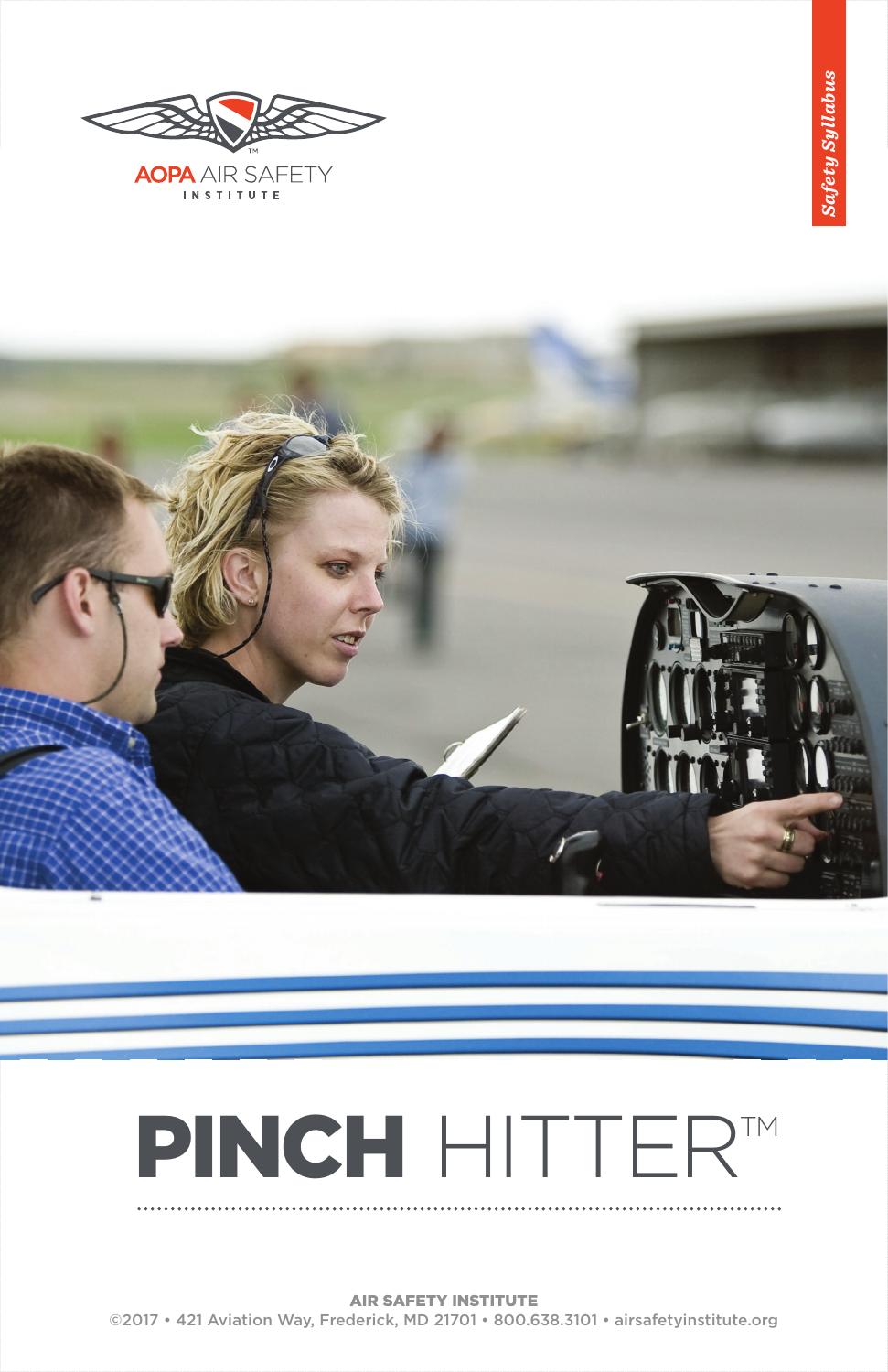

**AOPA** AIR SAFETY INSTITUTE



# PINCH HITTER<sup>TM</sup>

AIR SAFETY INSTITUTE ©2017 • 421 Aviation Way, Frederick, MD 21701 • 800.638.3101 • airsafetyinstitute.org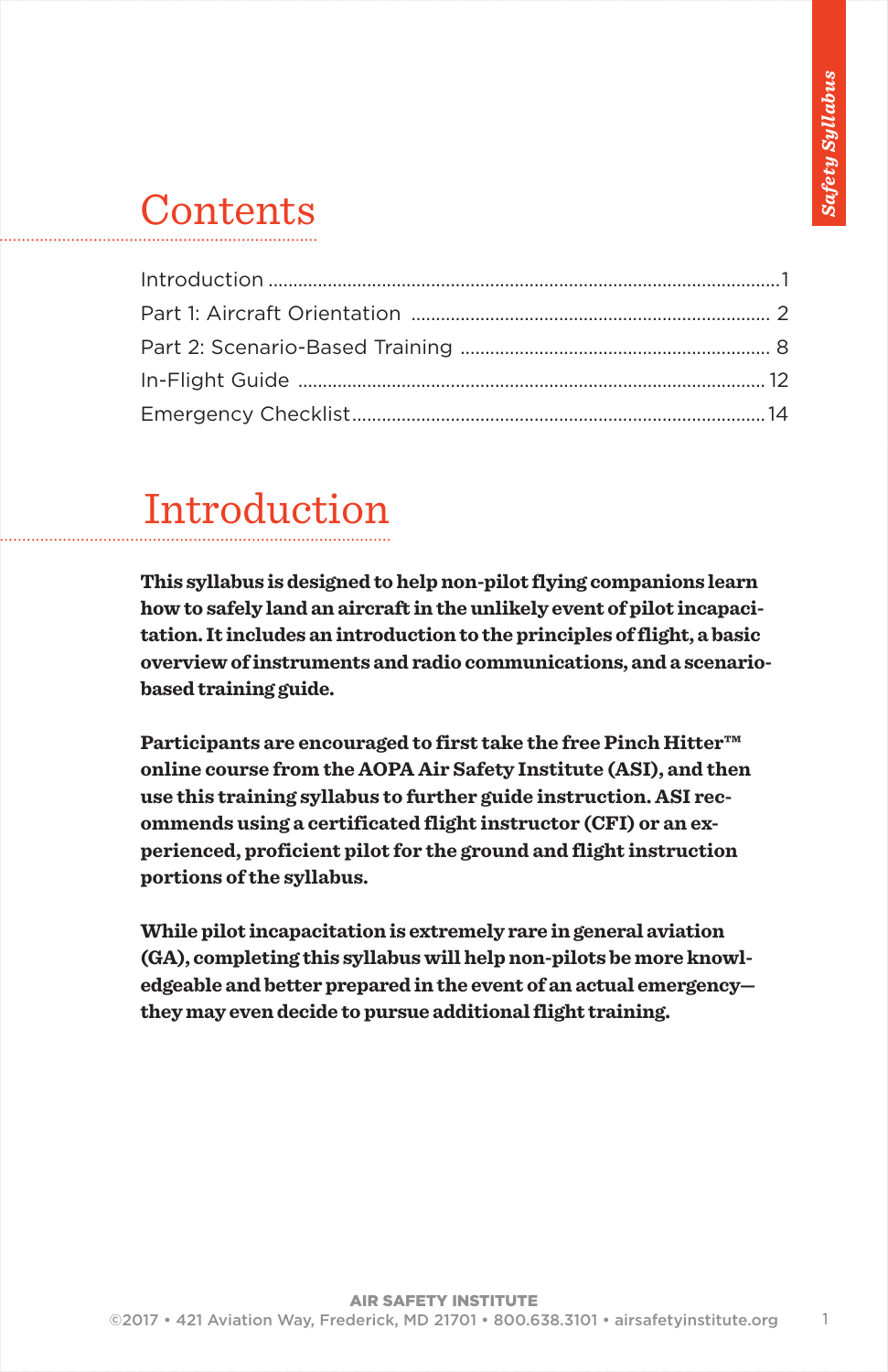### **Contents**

### Introduction

**This syllabus is designed to help non-pilot flying companions learn how to safely land an aircraft in the unlikely event of pilot incapacitation. It includes an introduction to the principles of flight, a basic overview of instruments and radio communications, and a scenariobased training guide.** 

**Participants are encouraged to first take the free Pinch Hitter™ online course from the AOPA Air Safety Institute (ASI), and then use this training syllabus to further guide instruction. ASI recommends using a certificated flight instructor (CFI) or an experienced, proficient pilot for the ground and flight instruction portions of the syllabus.**

**While pilot incapacitation is extremely rare in general aviation (GA), completing this syllabus will help non-pilots be more knowledgeable and better prepared in the event of an actual emergency they may even decide to pursue additional flight training.**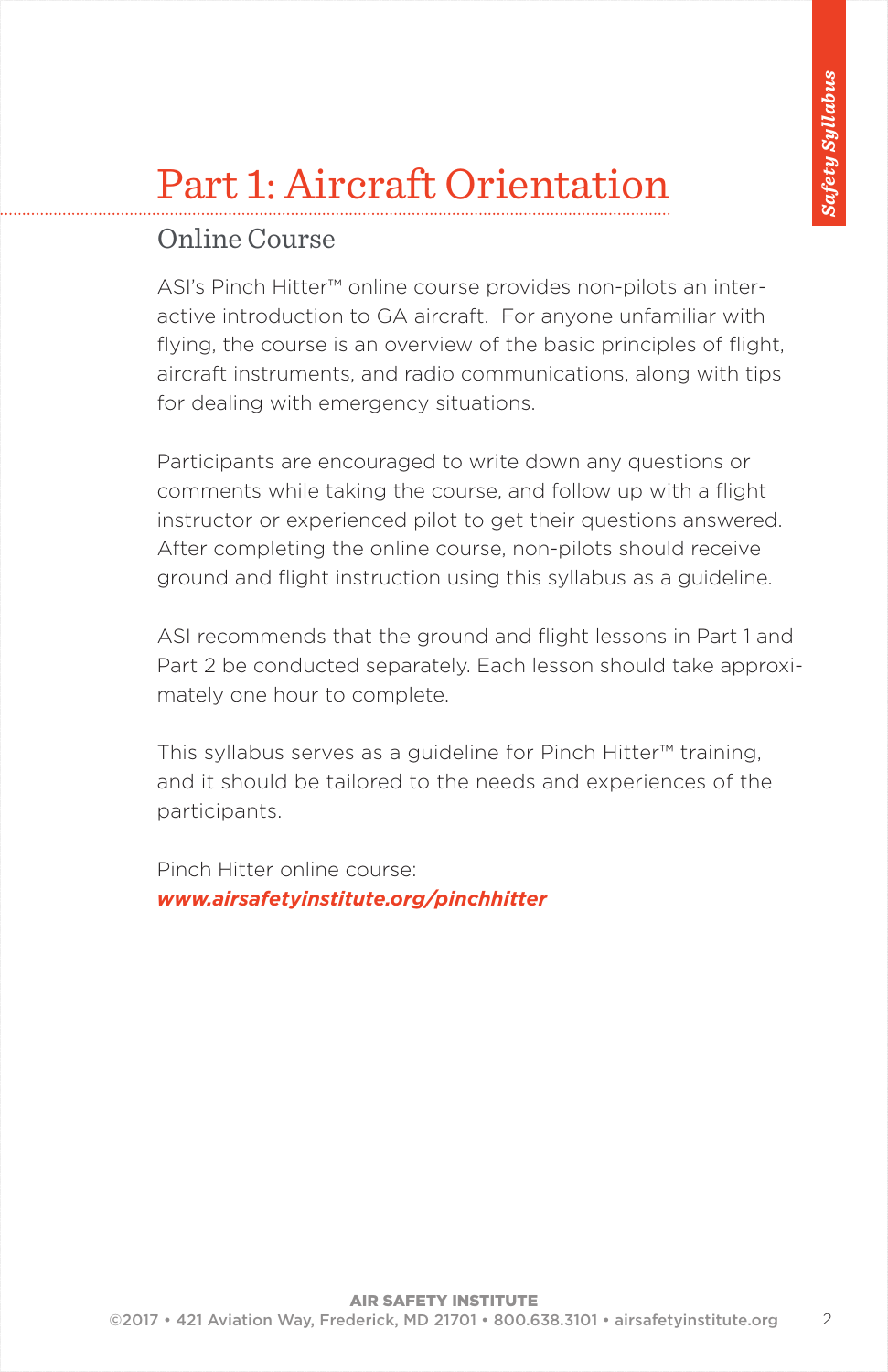### Online Course

ASI's Pinch Hitter™ online course provides non-pilots an interactive introduction to GA aircraft. For anyone unfamiliar with flying, the course is an overview of the basic principles of flight, aircraft instruments, and radio communications, along with tips for dealing with emergency situations.

Participants are encouraged to write down any questions or comments while taking the course, and follow up with a flight instructor or experienced pilot to get their questions answered. After completing the online course, non-pilots should receive ground and flight instruction using this syllabus as a guideline.

ASI recommends that the ground and flight lessons in Part 1 and Part 2 be conducted separately. Each lesson should take approximately one hour to complete.

This syllabus serves as a guideline for Pinch Hitter™ training, and it should be tailored to the needs and experiences of the participants.

Pinch Hitter online course: *www.airsafetyinstitute.org/pinchhitter*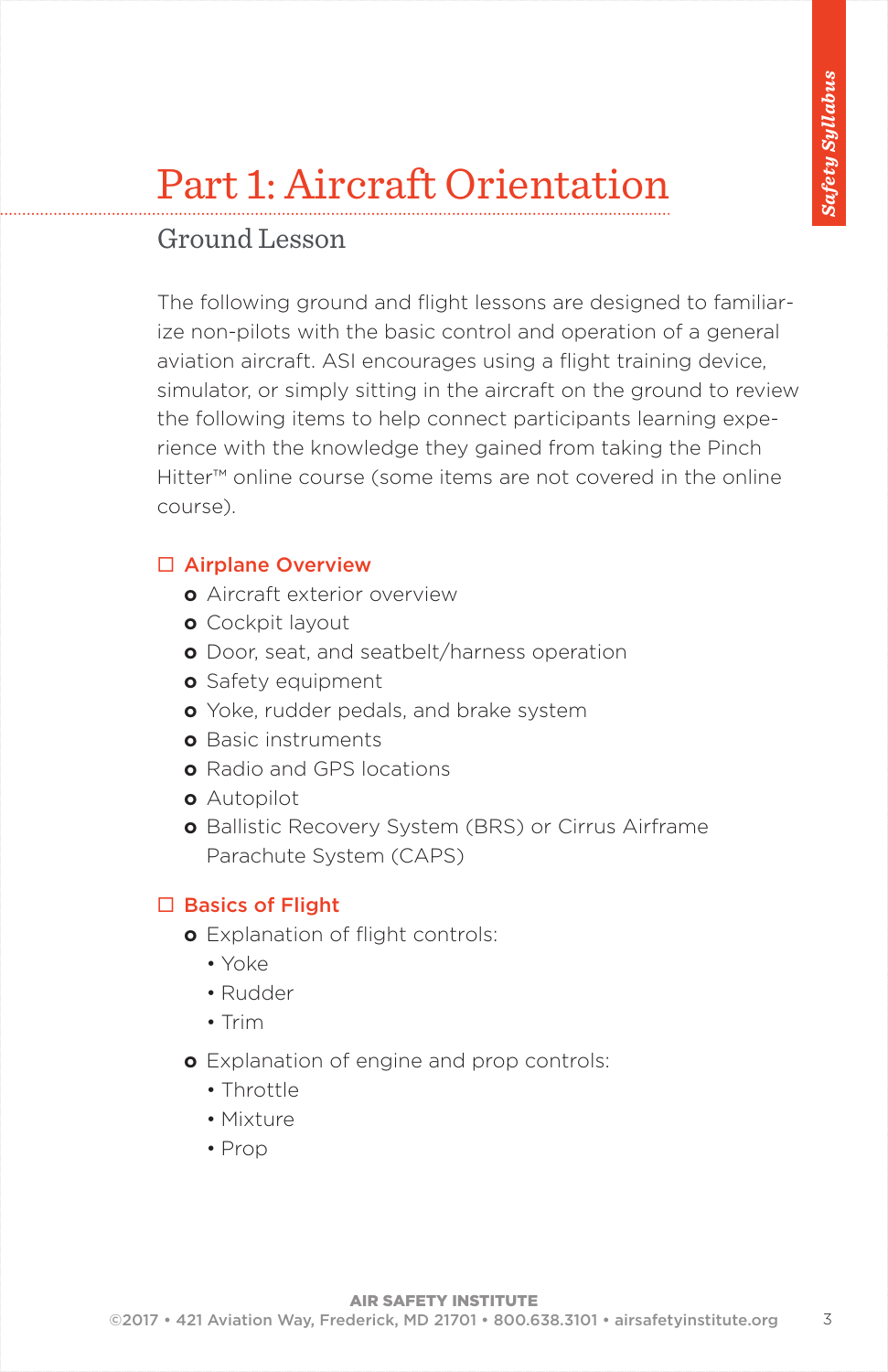### Ground Lesson

The following ground and flight lessons are designed to familiarize non-pilots with the basic control and operation of a general aviation aircraft. ASI encourages using a flight training device, simulator, or simply sitting in the aircraft on the ground to review the following items to help connect participants learning experience with the knowledge they gained from taking the Pinch Hitter™ online course (some items are not covered in the online course).

### $\square$  Airplane Overview

- **o** Aircraft exterior overview
- **o** Cockpit layout
- **o** Door, seat, and seatbelt/harness operation
- **o** Safety equipment
- **o** Yoke, rudder pedals, and brake system
- **o** Basic instruments
- **o** Radio and GPS locations
- **o** Autopilot
- **o** Ballistic Recovery System (BRS) or Cirrus Airframe Parachute System (CAPS)

### $\square$  Basics of Flight

- **o** Explanation of flight controls:
	- • Yoke
	- • Rudder
	- • Trim
- **o** Explanation of engine and prop controls:
	- • Throttle
	- • Mixture
	- Prop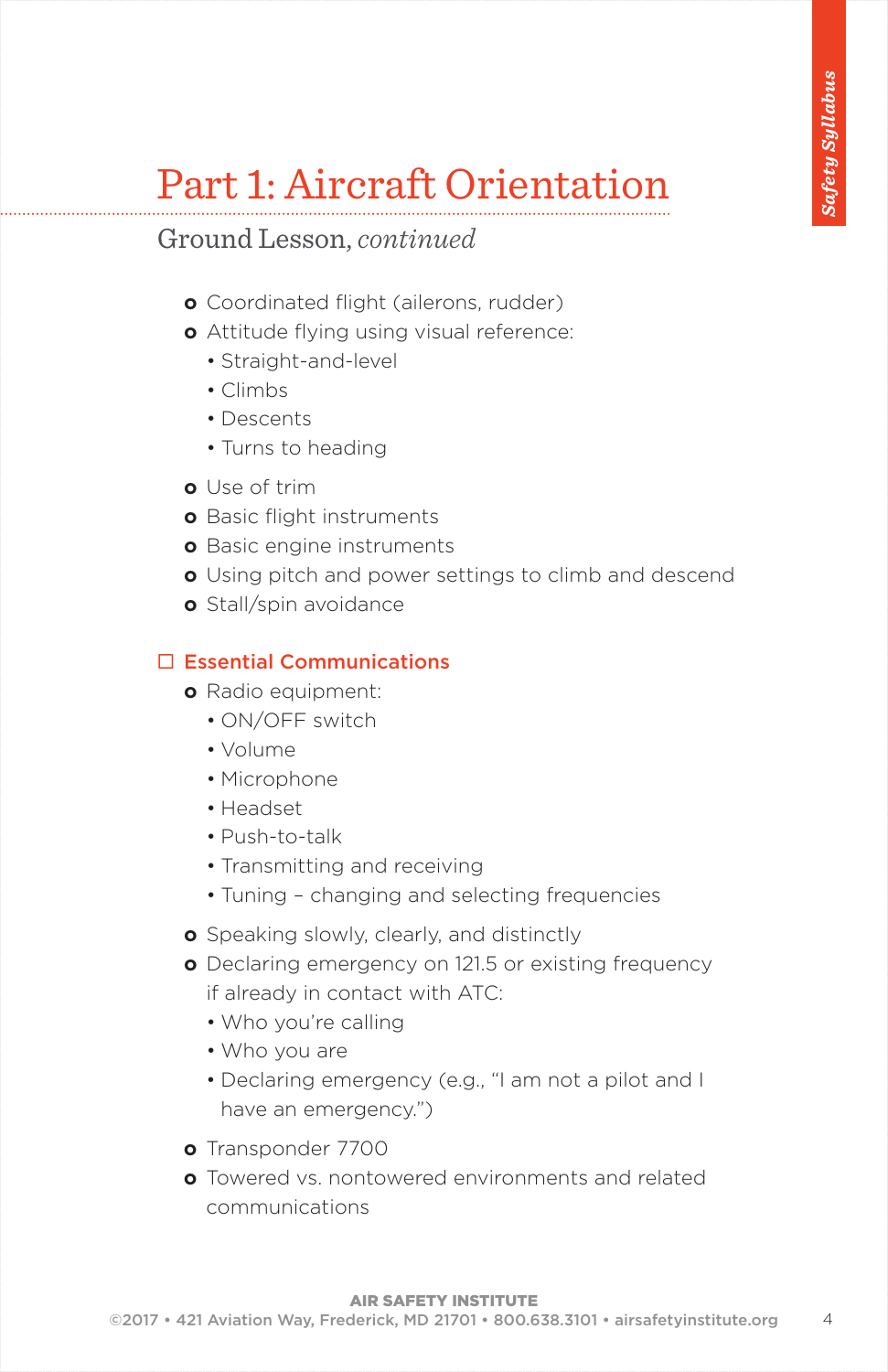Ground Lesson, *continued*

- **o** Coordinated flight (ailerons, rudder)
- **o** Attitude flying using visual reference:
	- Straight-and-level
	- Climbs
	- Descents
	- Turns to heading
- **o** Use of trim
- **o** Basic flight instruments
- **o** Basic engine instruments
- **o** Using pitch and power settings to climb and descend
- **o** Stall/spin avoidance

#### $\Box$  Essential Communications

- **o** Radio equipment:
	- ON/OFF switch
	- Volume
	- Microphone
	- Headset
	- Push-to-talk
	- Transmitting and receiving
	- Tuning changing and selecting frequencies
- **o** Speaking slowly, clearly, and distinctly
- **o** Declaring emergency on 121.5 or existing frequency if already in contact with ATC:
	- Who you're calling
	- Who you are
	- Declaring emergency (e.g., "I am not a pilot and I have an emergency.")
- **o** Transponder 7700
- **o** Towered vs. nontowered environments and related communications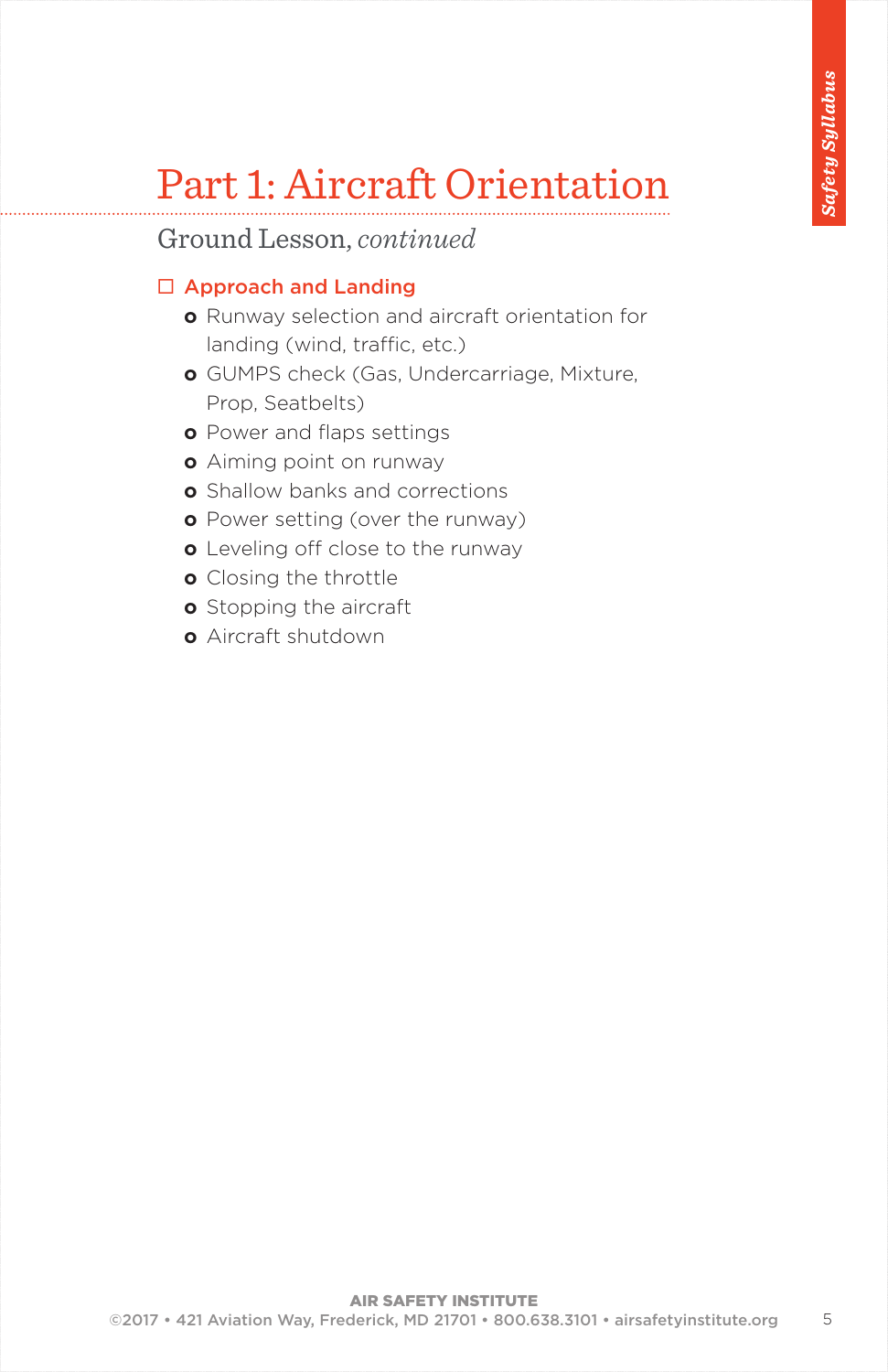Ground Lesson, *continued*

### $\square$  Approach and Landing

- **o** Runway selection and aircraft orientation for landing (wind, traffic, etc.)
- **o** GUMPS check (Gas, Undercarriage, Mixture, Prop, Seatbelts)
- **o** Power and flaps settings
- **o** Aiming point on runway
- **o** Shallow banks and corrections
- **o** Power setting (over the runway)
- **o** Leveling off close to the runway
- **o** Closing the throttle
- **o** Stopping the aircraft
- **o** Aircraft shutdown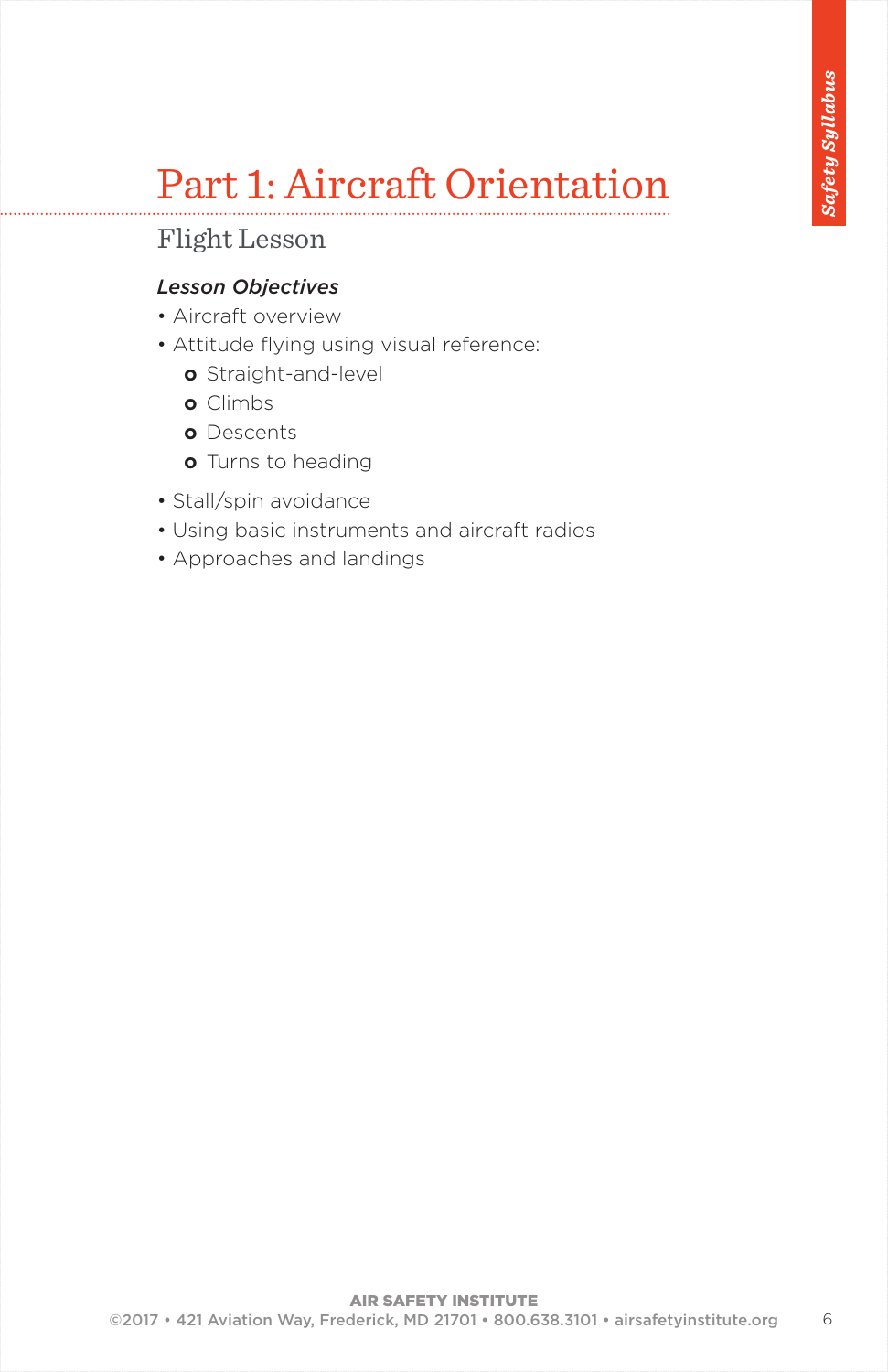### Flight Lesson

### *Lesson Objectives*

- Aircraft overview
- Attitude flying using visual reference:
	- **o** Straight-and-level
	- **o** Climbs
	- **o** Descents
	- **o** Turns to heading
- Stall/spin avoidance
- Using basic instruments and aircraft radios
- Approaches and landings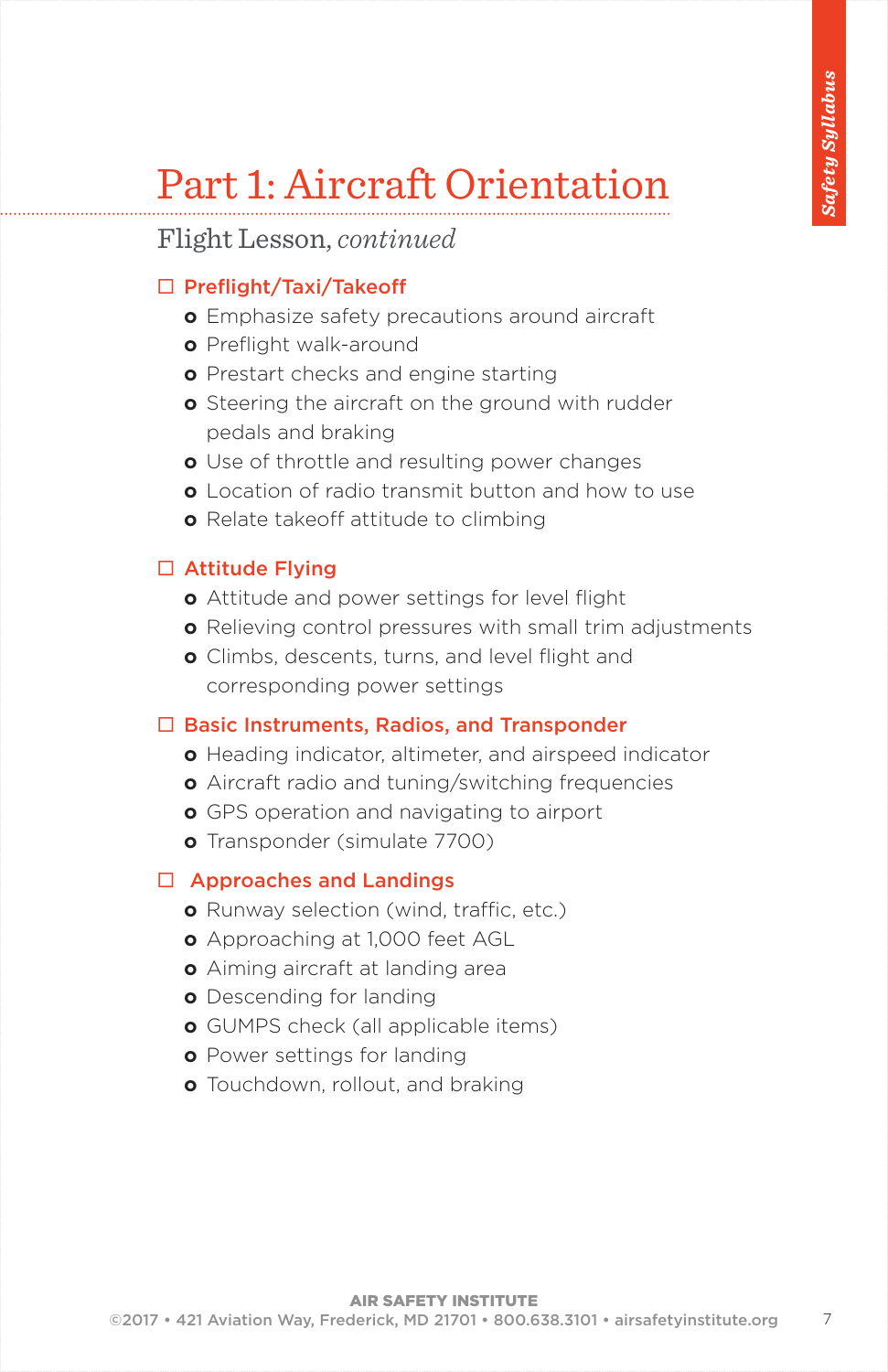### Flight Lesson, *continued*

### □ Preflight/Taxi/Takeoff

- **o** Emphasize safety precautions around aircraft
- **o** Preflight walk-around
- **o** Prestart checks and engine starting
- **o** Steering the aircraft on the ground with rudder pedals and braking
- **o** Use of throttle and resulting power changes
- **o** Location of radio transmit button and how to use
- **o** Relate takeoff attitude to climbing

#### $\square$  Attitude Flying

- **o** Attitude and power settings for level flight
- **o** Relieving control pressures with small trim adjustments
- **o** Climbs, descents, turns, and level flight and corresponding power settings

#### $\square$  Basic Instruments, Radios, and Transponder

- **o** Heading indicator, altimeter, and airspeed indicator
- **o** Aircraft radio and tuning/switching frequencies
- **o** GPS operation and navigating to airport
- **o** Transponder (simulate 7700)

### $\Box$  Approaches and Landings

- **o** Runway selection (wind, traffic, etc.)
- **o** Approaching at 1,000 feet AGL
- **o** Aiming aircraft at landing area
- **o** Descending for landing
- **o** GUMPS check (all applicable items)
- **o** Power settings for landing
- **o** Touchdown, rollout, and braking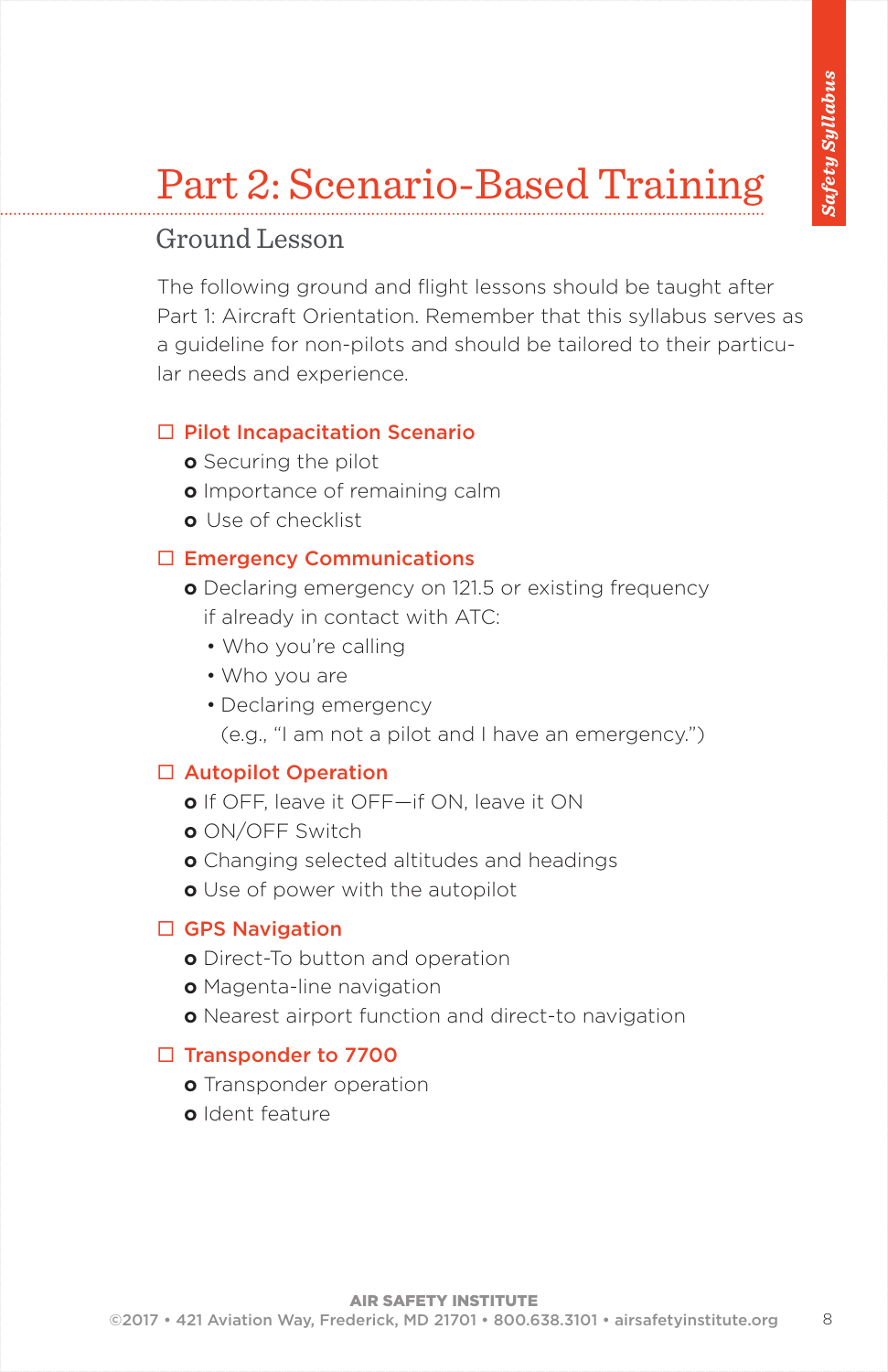# Part 2: Scenario-Based Training

### Ground Lesson

The following ground and flight lessons should be taught after Part 1: Aircraft Orientation. Remember that this syllabus serves as a guideline for non-pilots and should be tailored to their particular needs and experience.

#### $\Box$  Pilot Incapacitation Scenario

- **o** Securing the pilot
- **o** Importance of remaining calm
- **o** Use of checklist

### $\square$  Emergency Communications

- **o** Declaring emergency on 121.5 or existing frequency if already in contact with ATC:
	- Who you're calling
	- Who you are
	- Declaring emergency

(e.g., "I am not a pilot and I have an emergency.")

#### □ Autopilot Operation

- **o** If OFF, leave it OFF—if ON, leave it ON
- **o** ON/OFF Switch
- **o** Changing selected altitudes and headings
- **o** Use of power with the autopilot

#### $\Box$  GPS Navigation

- **o** Direct-To button and operation
- **o** Magenta-line navigation
- **o** Nearest airport function and direct-to navigation

#### □ Transponder to 7700

- **o** Transponder operation
- **o** Ident feature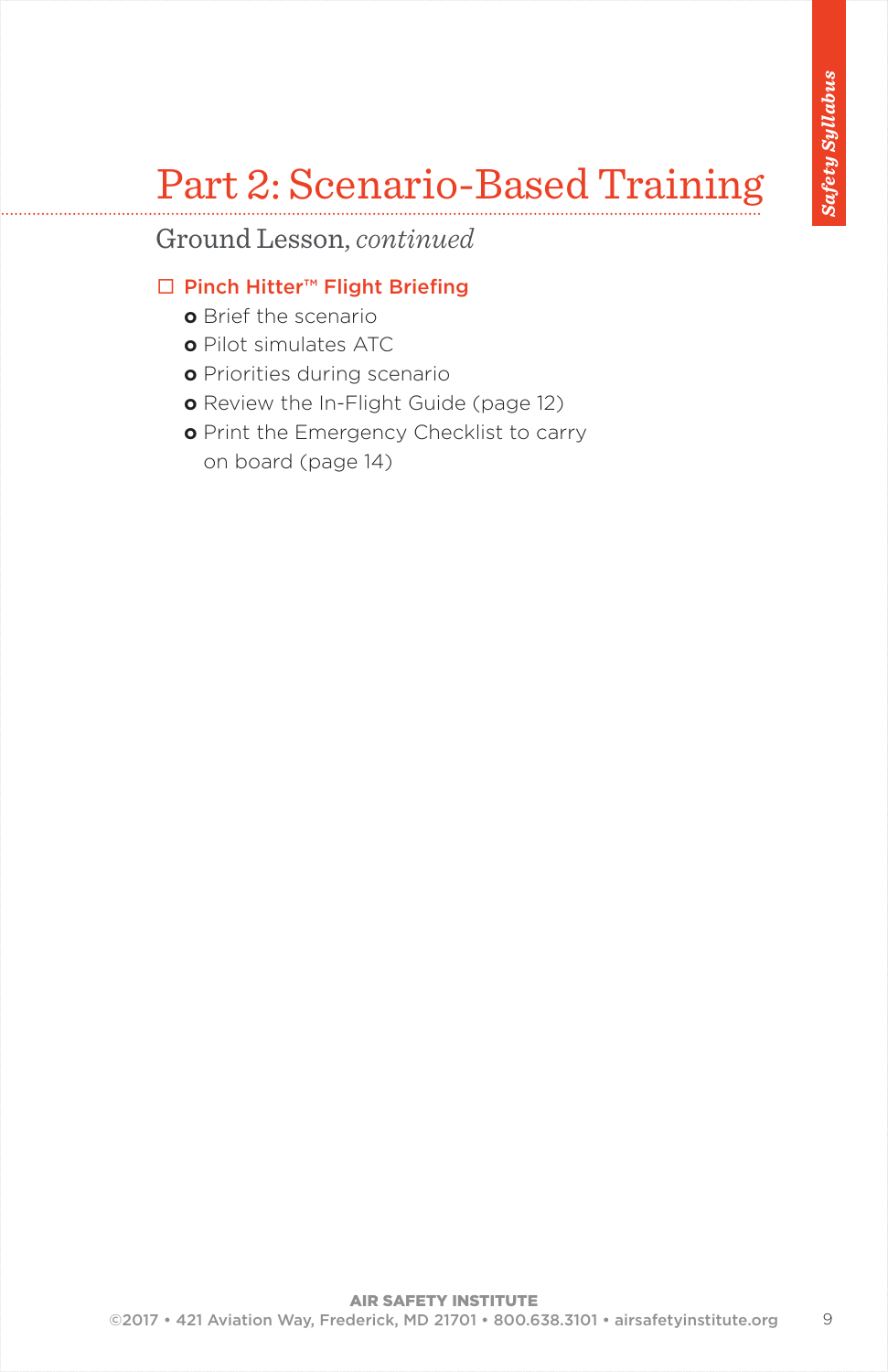### Part 2: Scenario-Based Training

Ground Lesson, *continued*

### ¨ Pinch Hitter™ Flight Briefing

- **o** Brief the scenario
- **o** Pilot simulates ATC
- **o** Priorities during scenario
- **o** Review the In-Flight Guide (page 12)
- **o** Print the Emergency Checklist to carry on board (page 14)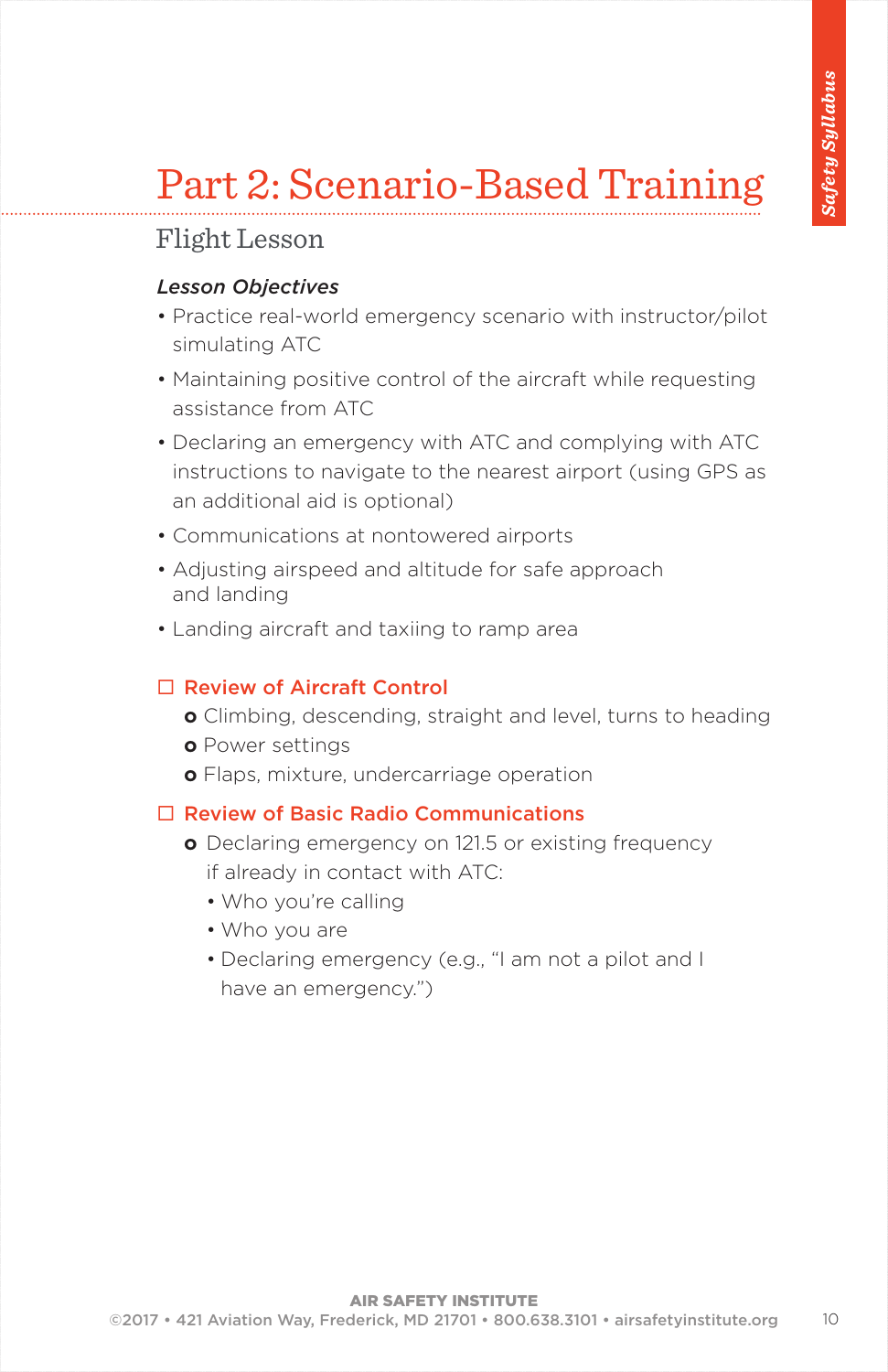# Part 2: Scenario-Based Training

### Flight Lesson

#### *Lesson Objectives*

- Practice real-world emergency scenario with instructor/pilot simulating ATC
- Maintaining positive control of the aircraft while requesting assistance from ATC
- Declaring an emergency with ATC and complying with ATC instructions to navigate to the nearest airport (using GPS as an additional aid is optional)
- Communications at nontowered airports
- Adjusting airspeed and altitude for safe approach and landing
- Landing aircraft and taxiing to ramp area

#### $\square$  Review of Aircraft Control

- **o** Climbing, descending, straight and level, turns to heading
- **o** Power settings
- **o** Flaps, mixture, undercarriage operation

### $\Box$  Review of Basic Radio Communications

- **o** Declaring emergency on 121.5 or existing frequency if already in contact with ATC:
	- Who you're calling
	- Who you are
	- Declaring emergency (e.g., "I am not a pilot and I have an emergency.")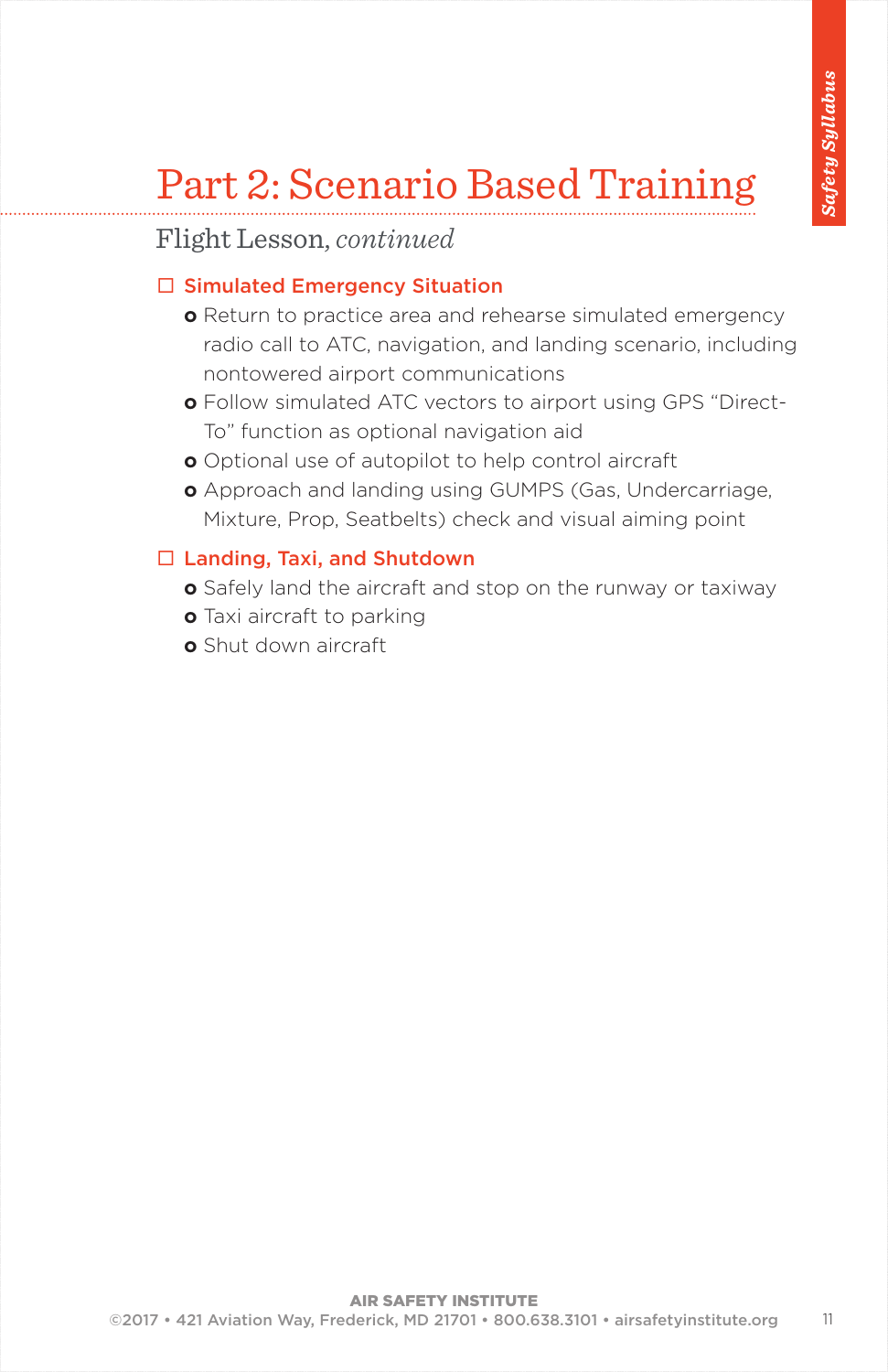# Part 2: Scenario Based Training

### Flight Lesson, *continued*

### $\square$  Simulated Emergency Situation

- **o** Return to practice area and rehearse simulated emergency radio call to ATC, navigation, and landing scenario, including nontowered airport communications
- **o** Follow simulated ATC vectors to airport using GPS "Direct-To" function as optional navigation aid
- **o** Optional use of autopilot to help control aircraft
- **o** Approach and landing using GUMPS (Gas, Undercarriage, Mixture, Prop, Seatbelts) check and visual aiming point

### $\Box$  Landing, Taxi, and Shutdown

- **o** Safely land the aircraft and stop on the runway or taxiway
- **o** Taxi aircraft to parking
- **o** Shut down aircraft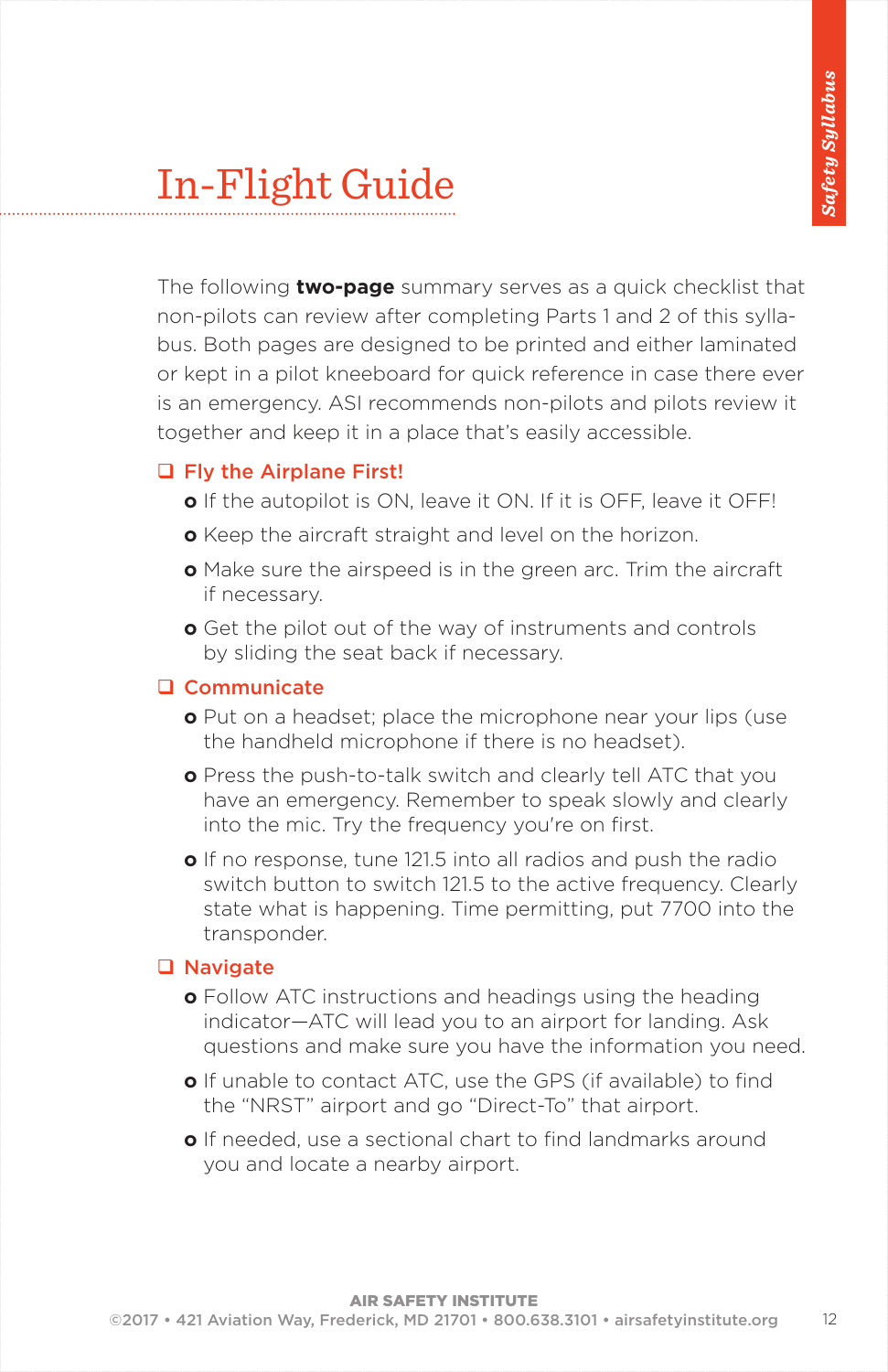# In-Flight Guide

The following **two-page** summary serves as a quick checklist that non-pilots can review after completing Parts 1 and 2 of this syllabus. Both pages are designed to be printed and either laminated or kept in a pilot kneeboard for quick reference in case there ever is an emergency. ASI recommends non-pilots and pilots review it together and keep it in a place that's easily accessible.

#### □ Fly the Airplane First!

- **o** If the autopilot is ON, leave it ON. If it is OFF, leave it OFF!
- **o** Keep the aircraft straight and level on the horizon.
- **o** Make sure the airspeed is in the green arc. Trim the aircraft if necessary.
- **o** Get the pilot out of the way of instruments and controls by sliding the seat back if necessary.

#### □ Communicate

- **o** Put on a headset; place the microphone near your lips (use the handheld microphone if there is no headset).
- **o** Press the push-to-talk switch and clearly tell ATC that you have an emergency. Remember to speak slowly and clearly into the mic. Try the frequency you're on first.
- **o** If no response, tune 121.5 into all radios and push the radio switch button to switch 121.5 to the active frequency. Clearly state what is happening. Time permitting, put 7700 into the transponder.

#### **Q** Navigate

- **o** Follow ATC instructions and headings using the heading indicator—ATC will lead you to an airport for landing. Ask questions and make sure you have the information you need.
- **o** If unable to contact ATC, use the GPS (if available) to find the "NRST" airport and go "Direct-To" that airport.
- **o** If needed, use a sectional chart to find landmarks around you and locate a nearby airport.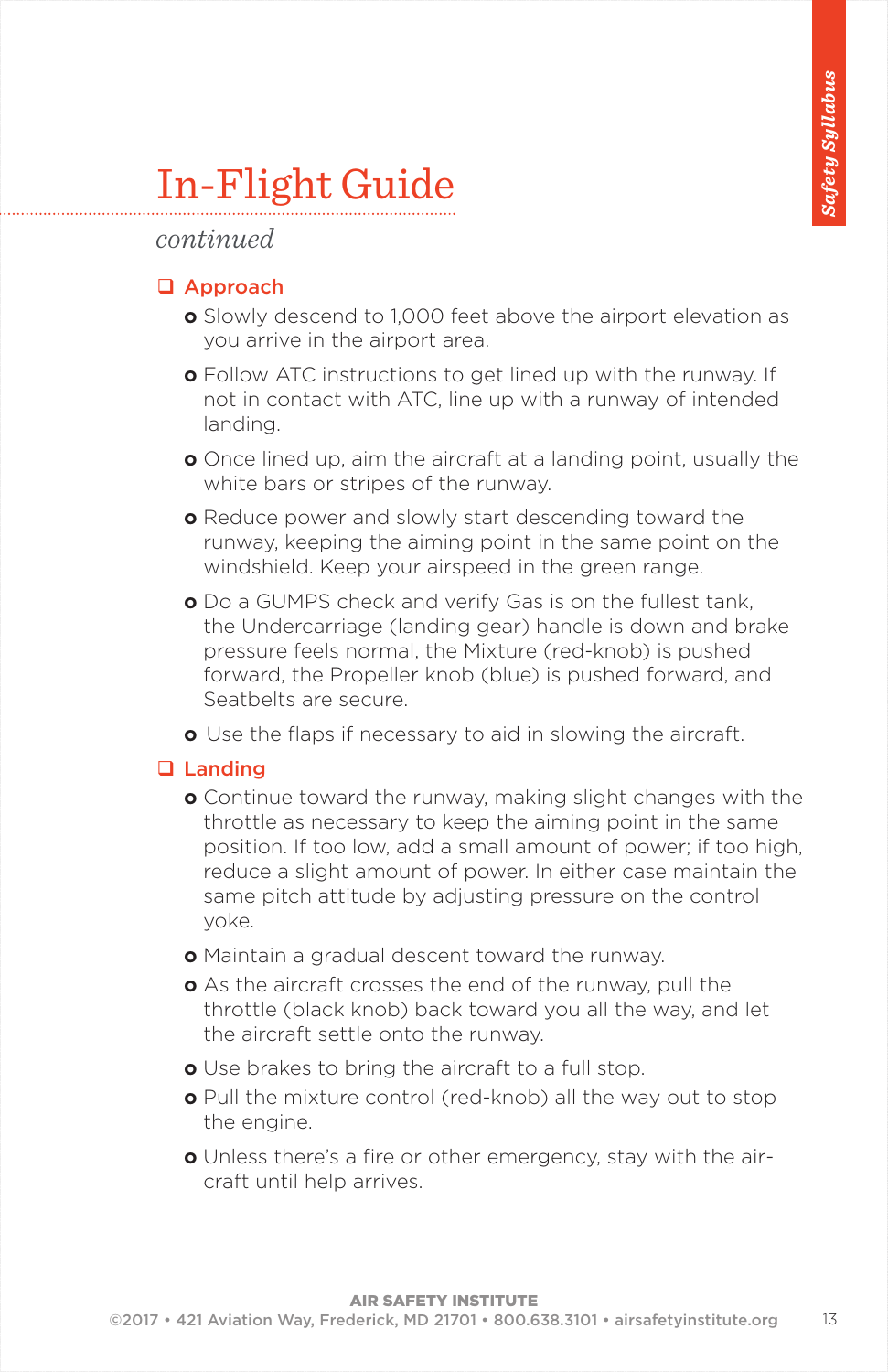# In-Flight Guide

#### *continued*

#### □ Approach

- **o** Slowly descend to 1,000 feet above the airport elevation as you arrive in the airport area.
- **o** Follow ATC instructions to get lined up with the runway. If not in contact with ATC, line up with a runway of intended landing.
- **o** Once lined up, aim the aircraft at a landing point, usually the white bars or stripes of the runway.
- **o** Reduce power and slowly start descending toward the runway, keeping the aiming point in the same point on the windshield. Keep your airspeed in the green range.
- **o** Do a GUMPS check and verify Gas is on the fullest tank, the Undercarriage (landing gear) handle is down and brake pressure feels normal, the Mixture (red-knob) is pushed forward, the Propeller knob (blue) is pushed forward, and Seatbelts are secure.
- **o** Use the flaps if necessary to aid in slowing the aircraft.

#### □ Landing

- **o** Continue toward the runway, making slight changes with the throttle as necessary to keep the aiming point in the same position. If too low, add a small amount of power; if too high, reduce a slight amount of power. In either case maintain the same pitch attitude by adjusting pressure on the control yoke.
- **o** Maintain a gradual descent toward the runway.
- **o** As the aircraft crosses the end of the runway, pull the throttle (black knob) back toward you all the way, and let the aircraft settle onto the runway.
- **o** Use brakes to bring the aircraft to a full stop.
- **o** Pull the mixture control (red-knob) all the way out to stop the engine.
- **o** Unless there's a fire or other emergency, stay with the aircraft until help arrives.